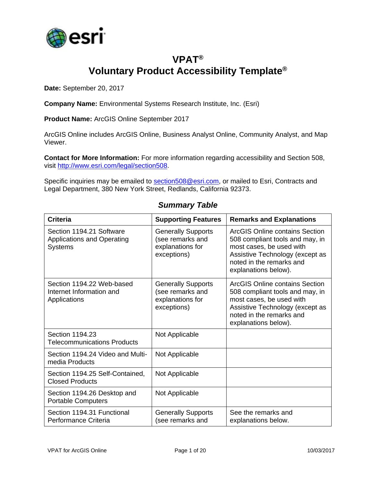

### **VPAT® Voluntary Product Accessibility Template®**

**Date:** September 20, 2017

**Company Name:** Environmental Systems Research Institute, Inc. (Esri)

**Product Name:** ArcGIS Online September 2017

ArcGIS Online includes ArcGIS Online, Business Analyst Online, Community Analyst, and Map Viewer.

**Contact for More Information:** For more information regarding accessibility and Section 508, visit [http://www.esri.com/legal/section508.](http://www.esri.com/legal/section508)

Specific inquiries may be emailed to [section508@esri.com,](mailto:section508@esri.com) or mailed to Esri, Contracts and Legal Department, 380 New York Street, Redlands, California 92373.

| <b>Criteria</b>                                                                 | <b>Supporting Features</b>                                                       | <b>Remarks and Explanations</b>                                                                                                                                                             |
|---------------------------------------------------------------------------------|----------------------------------------------------------------------------------|---------------------------------------------------------------------------------------------------------------------------------------------------------------------------------------------|
| Section 1194.21 Software<br><b>Applications and Operating</b><br><b>Systems</b> | <b>Generally Supports</b><br>(see remarks and<br>explanations for<br>exceptions) | ArcGIS Online contains Section<br>508 compliant tools and may, in<br>most cases, be used with<br>Assistive Technology (except as<br>noted in the remarks and<br>explanations below).        |
| Section 1194.22 Web-based<br>Internet Information and<br>Applications           | <b>Generally Supports</b><br>(see remarks and<br>explanations for<br>exceptions) | <b>ArcGIS Online contains Section</b><br>508 compliant tools and may, in<br>most cases, be used with<br>Assistive Technology (except as<br>noted in the remarks and<br>explanations below). |
| Section 1194.23<br><b>Telecommunications Products</b>                           | Not Applicable                                                                   |                                                                                                                                                                                             |
| Section 1194.24 Video and Multi-<br>media Products                              | Not Applicable                                                                   |                                                                                                                                                                                             |
| Section 1194.25 Self-Contained,<br><b>Closed Products</b>                       | Not Applicable                                                                   |                                                                                                                                                                                             |
| Section 1194.26 Desktop and<br><b>Portable Computers</b>                        | Not Applicable                                                                   |                                                                                                                                                                                             |
| Section 1194.31 Functional<br>Performance Criteria                              | <b>Generally Supports</b><br>(see remarks and                                    | See the remarks and<br>explanations below.                                                                                                                                                  |

#### *Summary Table*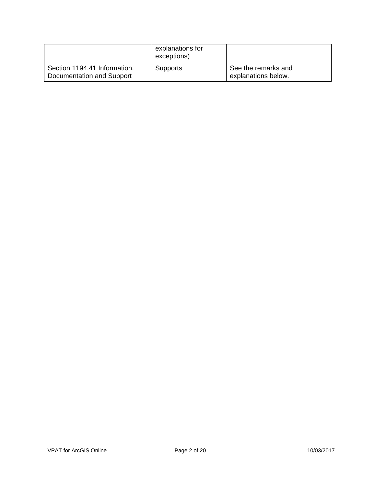|                                                           | explanations for<br>exceptions) |                                            |
|-----------------------------------------------------------|---------------------------------|--------------------------------------------|
| Section 1194.41 Information,<br>Documentation and Support | <b>Supports</b>                 | See the remarks and<br>explanations below. |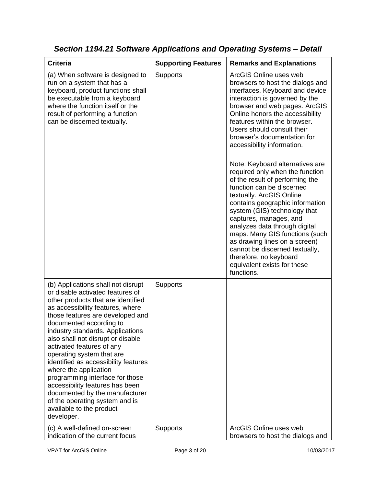| <b>Criteria</b>                                                                                                                                                                                                                                                                                                                                                                                                                                                                                                                                                                                         | <b>Supporting Features</b> | <b>Remarks and Explanations</b>                                                                                                                                                                                                                                                                                                                                                                                                                                                                                                                                                                                                                                                                                                                                                                            |
|---------------------------------------------------------------------------------------------------------------------------------------------------------------------------------------------------------------------------------------------------------------------------------------------------------------------------------------------------------------------------------------------------------------------------------------------------------------------------------------------------------------------------------------------------------------------------------------------------------|----------------------------|------------------------------------------------------------------------------------------------------------------------------------------------------------------------------------------------------------------------------------------------------------------------------------------------------------------------------------------------------------------------------------------------------------------------------------------------------------------------------------------------------------------------------------------------------------------------------------------------------------------------------------------------------------------------------------------------------------------------------------------------------------------------------------------------------------|
| (a) When software is designed to<br>run on a system that has a<br>keyboard, product functions shall<br>be executable from a keyboard<br>where the function itself or the<br>result of performing a function<br>can be discerned textually.                                                                                                                                                                                                                                                                                                                                                              | Supports                   | ArcGIS Online uses web<br>browsers to host the dialogs and<br>interfaces. Keyboard and device<br>interaction is governed by the<br>browser and web pages. ArcGIS<br>Online honors the accessibility<br>features within the browser.<br>Users should consult their<br>browser's documentation for<br>accessibility information.<br>Note: Keyboard alternatives are<br>required only when the function<br>of the result of performing the<br>function can be discerned<br>textually. ArcGIS Online<br>contains geographic information<br>system (GIS) technology that<br>captures, manages, and<br>analyzes data through digital<br>maps. Many GIS functions (such<br>as drawing lines on a screen)<br>cannot be discerned textually,<br>therefore, no keyboard<br>equivalent exists for these<br>functions. |
| (b) Applications shall not disrupt<br>or disable activated features of<br>other products that are identified<br>as accessibility features, where<br>those features are developed and<br>documented according to<br>industry standards. Applications<br>also shall not disrupt or disable<br>activated features of any<br>operating system that are<br>identified as accessibility features<br>where the application<br>programming interface for those<br>accessibility features has been<br>documented by the manufacturer<br>of the operating system and is<br>available to the product<br>developer. | Supports                   |                                                                                                                                                                                                                                                                                                                                                                                                                                                                                                                                                                                                                                                                                                                                                                                                            |
| (c) A well-defined on-screen<br>indication of the current focus                                                                                                                                                                                                                                                                                                                                                                                                                                                                                                                                         | Supports                   | ArcGIS Online uses web<br>browsers to host the dialogs and                                                                                                                                                                                                                                                                                                                                                                                                                                                                                                                                                                                                                                                                                                                                                 |

*Section 1194.21 Software Applications and Operating Systems – Detail*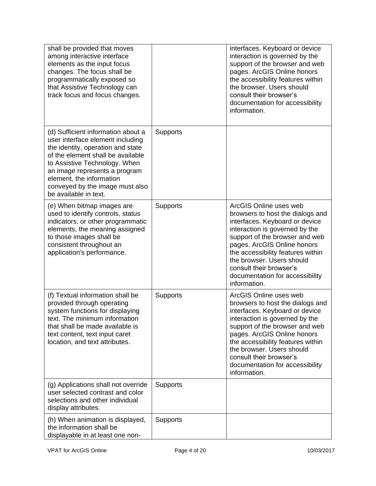| shall be provided that moves<br>among interactive interface<br>elements as the input focus<br>changes. The focus shall be<br>programmatically exposed so<br>that Assistive Technology can<br>track focus and focus changes.                                                                                |                 | interfaces. Keyboard or device<br>interaction is governed by the<br>support of the browser and web<br>pages. ArcGIS Online honors<br>the accessibility features within<br>the browser. Users should<br>consult their browser's<br>documentation for accessibility<br>information.                                                               |
|------------------------------------------------------------------------------------------------------------------------------------------------------------------------------------------------------------------------------------------------------------------------------------------------------------|-----------------|-------------------------------------------------------------------------------------------------------------------------------------------------------------------------------------------------------------------------------------------------------------------------------------------------------------------------------------------------|
| (d) Sufficient information about a<br>user interface element including<br>the identity, operation and state<br>of the element shall be available<br>to Assistive Technology. When<br>an image represents a program<br>element, the information<br>conveyed by the image must also<br>be available in text. | <b>Supports</b> |                                                                                                                                                                                                                                                                                                                                                 |
| (e) When bitmap images are<br>used to identify controls, status<br>indicators, or other programmatic<br>elements, the meaning assigned<br>to those images shall be<br>consistent throughout an<br>application's performance.                                                                               | Supports        | ArcGIS Online uses web<br>browsers to host the dialogs and<br>interfaces. Keyboard or device<br>interaction is governed by the<br>support of the browser and web<br>pages. ArcGIS Online honors<br>the accessibility features within<br>the browser. Users should<br>consult their browser's<br>documentation for accessibility<br>information. |
| (f) Textual information shall be<br>provided through operating<br>system functions for displaying<br>text. The minimum information<br>that shall be made available is<br>text content, text input caret<br>location, and text attributes.                                                                  | <b>Supports</b> | ArcGIS Online uses web<br>browsers to host the dialogs and<br>interfaces. Keyboard or device<br>interaction is governed by the<br>support of the browser and web<br>pages. ArcGIS Online honors<br>the accessibility features within<br>the browser. Users should<br>consult their browser's<br>documentation for accessibility<br>information. |
| (g) Applications shall not override<br>user selected contrast and color<br>selections and other individual<br>display attributes.                                                                                                                                                                          | Supports        |                                                                                                                                                                                                                                                                                                                                                 |
| (h) When animation is displayed,<br>the information shall be<br>displayable in at least one non-                                                                                                                                                                                                           | Supports        |                                                                                                                                                                                                                                                                                                                                                 |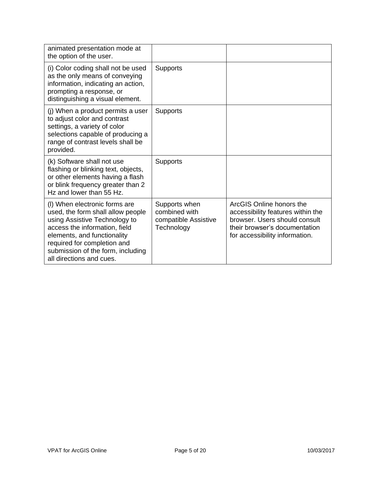| animated presentation mode at<br>the option of the user.                                                                                                                                                                                                            |                                                                      |                                                                                                                                                                   |
|---------------------------------------------------------------------------------------------------------------------------------------------------------------------------------------------------------------------------------------------------------------------|----------------------------------------------------------------------|-------------------------------------------------------------------------------------------------------------------------------------------------------------------|
| (i) Color coding shall not be used<br>as the only means of conveying<br>information, indicating an action,<br>prompting a response, or<br>distinguishing a visual element.                                                                                          | <b>Supports</b>                                                      |                                                                                                                                                                   |
| (j) When a product permits a user<br>to adjust color and contrast<br>settings, a variety of color<br>selections capable of producing a<br>range of contrast levels shall be<br>provided.                                                                            | <b>Supports</b>                                                      |                                                                                                                                                                   |
| (k) Software shall not use<br>flashing or blinking text, objects,<br>or other elements having a flash<br>or blink frequency greater than 2<br>Hz and lower than 55 Hz.                                                                                              | <b>Supports</b>                                                      |                                                                                                                                                                   |
| (I) When electronic forms are<br>used, the form shall allow people<br>using Assistive Technology to<br>access the information, field<br>elements, and functionality<br>required for completion and<br>submission of the form, including<br>all directions and cues. | Supports when<br>combined with<br>compatible Assistive<br>Technology | ArcGIS Online honors the<br>accessibility features within the<br>browser. Users should consult<br>their browser's documentation<br>for accessibility information. |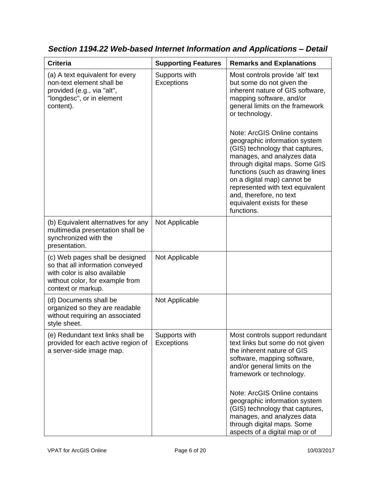| <b>Criteria</b>                                                                                                                                              | <b>Supporting Features</b>  | <b>Remarks and Explanations</b>                                                                                                                                                                                                                                                                                                                                                                                                                                                                                                       |
|--------------------------------------------------------------------------------------------------------------------------------------------------------------|-----------------------------|---------------------------------------------------------------------------------------------------------------------------------------------------------------------------------------------------------------------------------------------------------------------------------------------------------------------------------------------------------------------------------------------------------------------------------------------------------------------------------------------------------------------------------------|
| (a) A text equivalent for every<br>non-text element shall be<br>provided (e.g., via "alt",<br>"longdesc", or in element<br>content).                         | Supports with<br>Exceptions | Most controls provide 'alt' text<br>but some do not given the<br>inherent nature of GIS software,<br>mapping software, and/or<br>general limits on the framework<br>or technology.<br>Note: ArcGIS Online contains<br>geographic information system<br>(GIS) technology that captures,<br>manages, and analyzes data<br>through digital maps. Some GIS<br>functions (such as drawing lines<br>on a digital map) cannot be<br>represented with text equivalent<br>and, therefore, no text<br>equivalent exists for these<br>functions. |
| (b) Equivalent alternatives for any<br>multimedia presentation shall be<br>synchronized with the<br>presentation.                                            | Not Applicable              |                                                                                                                                                                                                                                                                                                                                                                                                                                                                                                                                       |
| (c) Web pages shall be designed<br>so that all information conveyed<br>with color is also available<br>without color, for example from<br>context or markup. | Not Applicable              |                                                                                                                                                                                                                                                                                                                                                                                                                                                                                                                                       |
| (d) Documents shall be<br>organized so they are readable<br>without requiring an associated<br>style sheet.                                                  | Not Applicable              |                                                                                                                                                                                                                                                                                                                                                                                                                                                                                                                                       |
| (e) Redundant text links shall be<br>provided for each active region of<br>a server-side image map.                                                          | Supports with<br>Exceptions | Most controls support redundant<br>text links but some do not given<br>the inherent nature of GIS<br>software, mapping software,<br>and/or general limits on the<br>framework or technology.<br>Note: ArcGIS Online contains<br>geographic information system                                                                                                                                                                                                                                                                         |
|                                                                                                                                                              |                             | (GIS) technology that captures,<br>manages, and analyzes data<br>through digital maps. Some<br>aspects of a digital map or of                                                                                                                                                                                                                                                                                                                                                                                                         |

*Section 1194.22 Web-based Internet Information and Applications – Detail*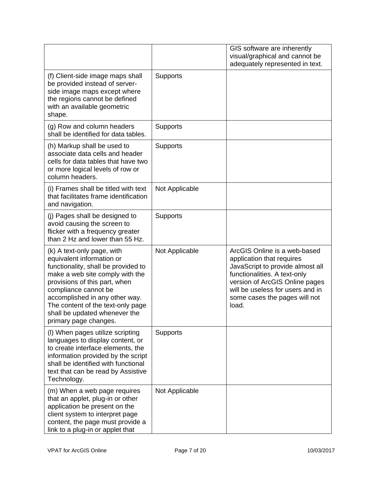|                                                                                                                                                                                                                                                                                                                             |                 | GIS software are inherently<br>visual/graphical and cannot be<br>adequately represented in text.                                                                                                                                              |
|-----------------------------------------------------------------------------------------------------------------------------------------------------------------------------------------------------------------------------------------------------------------------------------------------------------------------------|-----------------|-----------------------------------------------------------------------------------------------------------------------------------------------------------------------------------------------------------------------------------------------|
| (f) Client-side image maps shall<br>be provided instead of server-<br>side image maps except where<br>the regions cannot be defined<br>with an available geometric<br>shape.                                                                                                                                                | <b>Supports</b> |                                                                                                                                                                                                                                               |
| (g) Row and column headers<br>shall be identified for data tables.                                                                                                                                                                                                                                                          | <b>Supports</b> |                                                                                                                                                                                                                                               |
| (h) Markup shall be used to<br>associate data cells and header<br>cells for data tables that have two<br>or more logical levels of row or<br>column headers.                                                                                                                                                                | Supports        |                                                                                                                                                                                                                                               |
| (i) Frames shall be titled with text<br>that facilitates frame identification<br>and navigation.                                                                                                                                                                                                                            | Not Applicable  |                                                                                                                                                                                                                                               |
| (j) Pages shall be designed to<br>avoid causing the screen to<br>flicker with a frequency greater<br>than 2 Hz and lower than 55 Hz.                                                                                                                                                                                        | Supports        |                                                                                                                                                                                                                                               |
| (k) A text-only page, with<br>equivalent information or<br>functionality, shall be provided to<br>make a web site comply with the<br>provisions of this part, when<br>compliance cannot be<br>accomplished in any other way.<br>The content of the text-only page<br>shall be updated whenever the<br>primary page changes. | Not Applicable  | ArcGIS Online is a web-based<br>application that requires<br>JavaScript to provide almost all<br>functionalities. A text-only<br>version of ArcGIS Online pages<br>will be useless for users and in<br>some cases the pages will not<br>load. |
| (I) When pages utilize scripting<br>languages to display content, or<br>to create interface elements, the<br>information provided by the script<br>shall be identified with functional<br>text that can be read by Assistive<br>Technology.                                                                                 | <b>Supports</b> |                                                                                                                                                                                                                                               |
| (m) When a web page requires<br>that an applet, plug-in or other<br>application be present on the<br>client system to interpret page<br>content, the page must provide a<br>link to a plug-in or applet that                                                                                                                | Not Applicable  |                                                                                                                                                                                                                                               |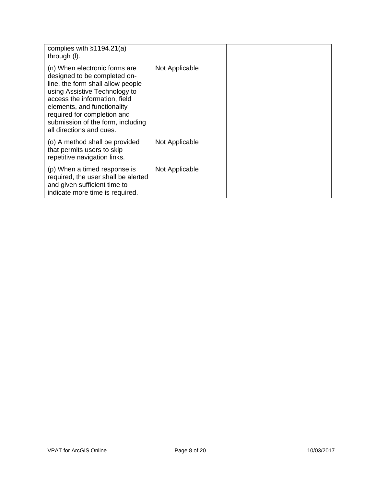| complies with $§1194.21(a)$<br>through (I).                                                                                                                                                                                                                                                         |                |  |
|-----------------------------------------------------------------------------------------------------------------------------------------------------------------------------------------------------------------------------------------------------------------------------------------------------|----------------|--|
| (n) When electronic forms are<br>designed to be completed on-<br>line, the form shall allow people<br>using Assistive Technology to<br>access the information, field<br>elements, and functionality<br>required for completion and<br>submission of the form, including<br>all directions and cues. | Not Applicable |  |
| (o) A method shall be provided<br>that permits users to skip<br>repetitive navigation links.                                                                                                                                                                                                        | Not Applicable |  |
| (p) When a timed response is<br>required, the user shall be alerted<br>and given sufficient time to<br>indicate more time is required.                                                                                                                                                              | Not Applicable |  |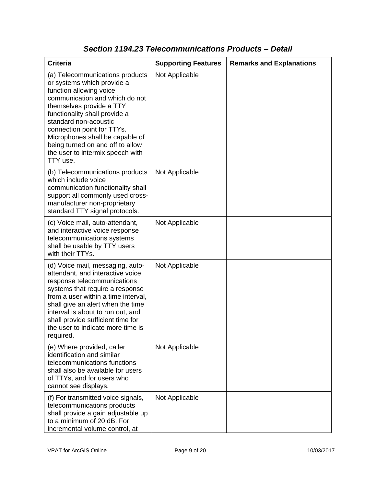| <b>Criteria</b>                                                                                                                                                                                                                                                                                                                                                       | <b>Supporting Features</b> | <b>Remarks and Explanations</b> |
|-----------------------------------------------------------------------------------------------------------------------------------------------------------------------------------------------------------------------------------------------------------------------------------------------------------------------------------------------------------------------|----------------------------|---------------------------------|
| (a) Telecommunications products<br>or systems which provide a<br>function allowing voice<br>communication and which do not<br>themselves provide a TTY<br>functionality shall provide a<br>standard non-acoustic<br>connection point for TTYs.<br>Microphones shall be capable of<br>being turned on and off to allow<br>the user to intermix speech with<br>TTY use. | Not Applicable             |                                 |
| (b) Telecommunications products<br>which include voice<br>communication functionality shall<br>support all commonly used cross-<br>manufacturer non-proprietary<br>standard TTY signal protocols.                                                                                                                                                                     | Not Applicable             |                                 |
| (c) Voice mail, auto-attendant,<br>and interactive voice response<br>telecommunications systems<br>shall be usable by TTY users<br>with their TTYs.                                                                                                                                                                                                                   | Not Applicable             |                                 |
| (d) Voice mail, messaging, auto-<br>attendant, and interactive voice<br>response telecommunications<br>systems that require a response<br>from a user within a time interval,<br>shall give an alert when the time<br>interval is about to run out, and<br>shall provide sufficient time for<br>the user to indicate more time is<br>required.                        | Not Applicable             |                                 |
| (e) Where provided, caller<br>identification and similar<br>telecommunications functions<br>shall also be available for users<br>of TTYs, and for users who<br>cannot see displays.                                                                                                                                                                                   | Not Applicable             |                                 |
| (f) For transmitted voice signals,<br>telecommunications products<br>shall provide a gain adjustable up<br>to a minimum of 20 dB. For<br>incremental volume control, at                                                                                                                                                                                               | Not Applicable             |                                 |

### *Section 1194.23 Telecommunications Products – Detail*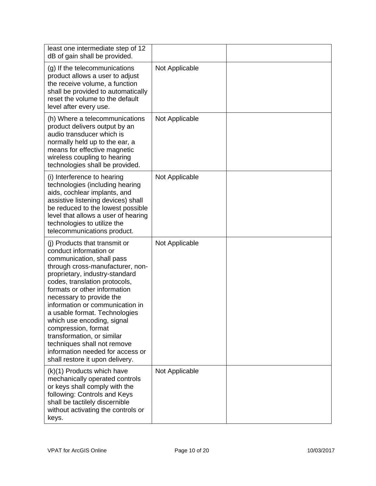| least one intermediate step of 12<br>dB of gain shall be provided.                                                                                                                                                                                                                                                                                                                                                                                                                                                   |                |  |
|----------------------------------------------------------------------------------------------------------------------------------------------------------------------------------------------------------------------------------------------------------------------------------------------------------------------------------------------------------------------------------------------------------------------------------------------------------------------------------------------------------------------|----------------|--|
| (g) If the telecommunications<br>product allows a user to adjust<br>the receive volume, a function<br>shall be provided to automatically<br>reset the volume to the default<br>level after every use.                                                                                                                                                                                                                                                                                                                | Not Applicable |  |
| (h) Where a telecommunications<br>product delivers output by an<br>audio transducer which is<br>normally held up to the ear, a<br>means for effective magnetic<br>wireless coupling to hearing<br>technologies shall be provided.                                                                                                                                                                                                                                                                                    | Not Applicable |  |
| (i) Interference to hearing<br>technologies (including hearing<br>aids, cochlear implants, and<br>assistive listening devices) shall<br>be reduced to the lowest possible<br>level that allows a user of hearing<br>technologies to utilize the<br>telecommunications product.                                                                                                                                                                                                                                       | Not Applicable |  |
| (i) Products that transmit or<br>conduct information or<br>communication, shall pass<br>through cross-manufacturer, non-<br>proprietary, industry-standard<br>codes, translation protocols,<br>formats or other information<br>necessary to provide the<br>information or communication in<br>a usable format. Technologies<br>which use encoding, signal<br>compression, format<br>transformation, or similar<br>techniques shall not remove<br>information needed for access or<br>shall restore it upon delivery. | Not Applicable |  |
| (k)(1) Products which have<br>mechanically operated controls<br>or keys shall comply with the<br>following: Controls and Keys<br>shall be tactilely discernible<br>without activating the controls or<br>keys.                                                                                                                                                                                                                                                                                                       | Not Applicable |  |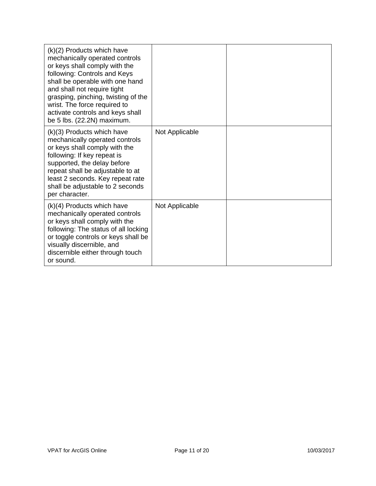| (k)(2) Products which have<br>mechanically operated controls<br>or keys shall comply with the<br>following: Controls and Keys<br>shall be operable with one hand<br>and shall not require tight<br>grasping, pinching, twisting of the<br>wrist. The force required to<br>activate controls and keys shall<br>be 5 lbs. (22.2N) maximum. |                |  |
|------------------------------------------------------------------------------------------------------------------------------------------------------------------------------------------------------------------------------------------------------------------------------------------------------------------------------------------|----------------|--|
| $(k)(3)$ Products which have<br>mechanically operated controls<br>or keys shall comply with the<br>following: If key repeat is<br>supported, the delay before<br>repeat shall be adjustable to at<br>least 2 seconds. Key repeat rate<br>shall be adjustable to 2 seconds<br>per character.                                              | Not Applicable |  |
| $(k)(4)$ Products which have<br>mechanically operated controls<br>or keys shall comply with the<br>following: The status of all locking<br>or toggle controls or keys shall be<br>visually discernible, and<br>discernible either through touch<br>or sound.                                                                             | Not Applicable |  |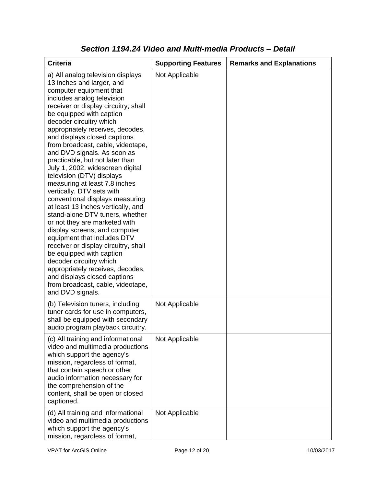| <b>Criteria</b>                                                                                                                                                                                                                                                                                                                                                                                                                                                                                                                                                                                                                                                                                                                                                                                                                                                                                                                                                           | <b>Supporting Features</b> | <b>Remarks and Explanations</b> |
|---------------------------------------------------------------------------------------------------------------------------------------------------------------------------------------------------------------------------------------------------------------------------------------------------------------------------------------------------------------------------------------------------------------------------------------------------------------------------------------------------------------------------------------------------------------------------------------------------------------------------------------------------------------------------------------------------------------------------------------------------------------------------------------------------------------------------------------------------------------------------------------------------------------------------------------------------------------------------|----------------------------|---------------------------------|
| a) All analog television displays<br>13 inches and larger, and<br>computer equipment that<br>includes analog television<br>receiver or display circuitry, shall<br>be equipped with caption<br>decoder circuitry which<br>appropriately receives, decodes,<br>and displays closed captions<br>from broadcast, cable, videotape,<br>and DVD signals. As soon as<br>practicable, but not later than<br>July 1, 2002, widescreen digital<br>television (DTV) displays<br>measuring at least 7.8 inches<br>vertically, DTV sets with<br>conventional displays measuring<br>at least 13 inches vertically, and<br>stand-alone DTV tuners, whether<br>or not they are marketed with<br>display screens, and computer<br>equipment that includes DTV<br>receiver or display circuitry, shall<br>be equipped with caption<br>decoder circuitry which<br>appropriately receives, decodes,<br>and displays closed captions<br>from broadcast, cable, videotape,<br>and DVD signals. | Not Applicable             |                                 |
| (b) Television tuners, including<br>tuner cards for use in computers,<br>shall be equipped with secondary<br>audio program playback circuitry.                                                                                                                                                                                                                                                                                                                                                                                                                                                                                                                                                                                                                                                                                                                                                                                                                            | Not Applicable             |                                 |
| (c) All training and informational<br>video and multimedia productions<br>which support the agency's<br>mission, regardless of format,<br>that contain speech or other<br>audio information necessary for<br>the comprehension of the<br>content, shall be open or closed<br>captioned.                                                                                                                                                                                                                                                                                                                                                                                                                                                                                                                                                                                                                                                                                   | Not Applicable             |                                 |
| (d) All training and informational<br>video and multimedia productions<br>which support the agency's<br>mission, regardless of format,                                                                                                                                                                                                                                                                                                                                                                                                                                                                                                                                                                                                                                                                                                                                                                                                                                    | Not Applicable             |                                 |

### *Section 1194.24 Video and Multi-media Products – Detail*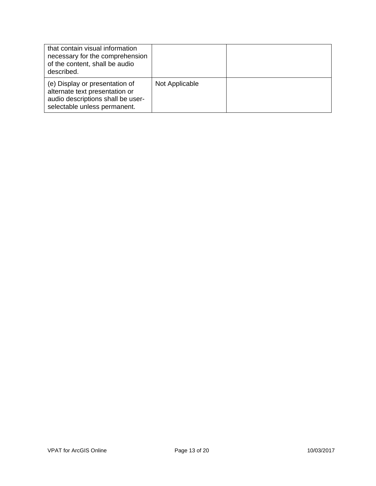| that contain visual information<br>necessary for the comprehension<br>of the content, shall be audio<br>described.                    |                |  |
|---------------------------------------------------------------------------------------------------------------------------------------|----------------|--|
| (e) Display or presentation of<br>alternate text presentation or<br>audio descriptions shall be user-<br>selectable unless permanent. | Not Applicable |  |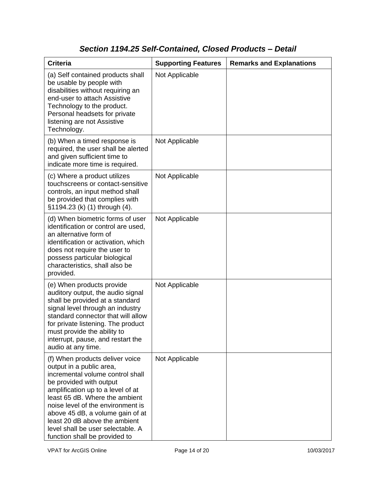# *Section 1194.25 Self-Contained, Closed Products – Detail*

| <b>Criteria</b>                                                                                                                                                                                                                                                                                                                                                                   | <b>Supporting Features</b> | <b>Remarks and Explanations</b> |
|-----------------------------------------------------------------------------------------------------------------------------------------------------------------------------------------------------------------------------------------------------------------------------------------------------------------------------------------------------------------------------------|----------------------------|---------------------------------|
| (a) Self contained products shall<br>be usable by people with<br>disabilities without requiring an<br>end-user to attach Assistive<br>Technology to the product.<br>Personal headsets for private<br>listening are not Assistive<br>Technology.                                                                                                                                   | Not Applicable             |                                 |
| (b) When a timed response is<br>required, the user shall be alerted<br>and given sufficient time to<br>indicate more time is required.                                                                                                                                                                                                                                            | Not Applicable             |                                 |
| (c) Where a product utilizes<br>touchscreens or contact-sensitive<br>controls, an input method shall<br>be provided that complies with<br>§1194.23 (k) (1) through (4).                                                                                                                                                                                                           | Not Applicable             |                                 |
| (d) When biometric forms of user<br>identification or control are used,<br>an alternative form of<br>identification or activation, which<br>does not require the user to<br>possess particular biological<br>characteristics, shall also be<br>provided.                                                                                                                          | Not Applicable             |                                 |
| (e) When products provide<br>auditory output, the audio signal<br>shall be provided at a standard<br>signal level through an industry<br>standard connector that will allow<br>for private listening. The product<br>must provide the ability to<br>interrupt, pause, and restart the<br>audio at any time.                                                                       | Not Applicable             |                                 |
| (f) When products deliver voice<br>output in a public area,<br>incremental volume control shall<br>be provided with output<br>amplification up to a level of at<br>least 65 dB. Where the ambient<br>noise level of the environment is<br>above 45 dB, a volume gain of at<br>least 20 dB above the ambient<br>level shall be user selectable. A<br>function shall be provided to | Not Applicable             |                                 |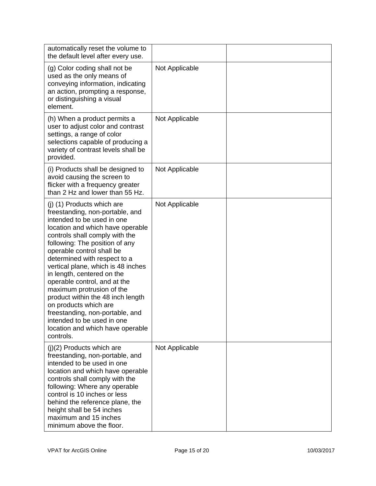| automatically reset the volume to<br>the default level after every use.                                                                                                                                                                                                                                                                                                                                                                                                                                                                                                           |                |  |
|-----------------------------------------------------------------------------------------------------------------------------------------------------------------------------------------------------------------------------------------------------------------------------------------------------------------------------------------------------------------------------------------------------------------------------------------------------------------------------------------------------------------------------------------------------------------------------------|----------------|--|
| (g) Color coding shall not be<br>used as the only means of<br>conveying information, indicating<br>an action, prompting a response,<br>or distinguishing a visual<br>element.                                                                                                                                                                                                                                                                                                                                                                                                     | Not Applicable |  |
| (h) When a product permits a<br>user to adjust color and contrast<br>settings, a range of color<br>selections capable of producing a<br>variety of contrast levels shall be<br>provided.                                                                                                                                                                                                                                                                                                                                                                                          | Not Applicable |  |
| (i) Products shall be designed to<br>avoid causing the screen to<br>flicker with a frequency greater<br>than 2 Hz and lower than 55 Hz.                                                                                                                                                                                                                                                                                                                                                                                                                                           | Not Applicable |  |
| (j) (1) Products which are<br>freestanding, non-portable, and<br>intended to be used in one<br>location and which have operable<br>controls shall comply with the<br>following: The position of any<br>operable control shall be<br>determined with respect to a<br>vertical plane, which is 48 inches<br>in length, centered on the<br>operable control, and at the<br>maximum protrusion of the<br>product within the 48 inch length<br>on products which are<br>freestanding, non-portable, and<br>intended to be used in one<br>location and which have operable<br>controls. | Not Applicable |  |
| $(i)(2)$ Products which are<br>freestanding, non-portable, and<br>intended to be used in one<br>location and which have operable<br>controls shall comply with the<br>following: Where any operable<br>control is 10 inches or less<br>behind the reference plane, the<br>height shall be 54 inches<br>maximum and 15 inches<br>minimum above the floor.                                                                                                                                                                                                                          | Not Applicable |  |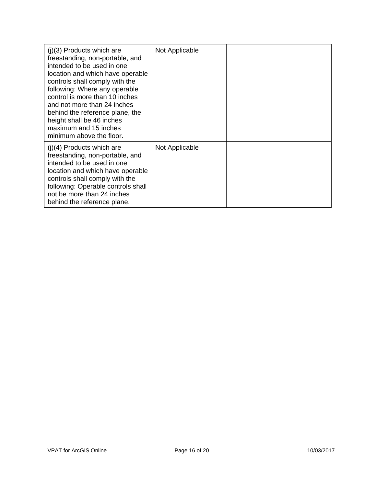| $(i)(3)$ Products which are<br>freestanding, non-portable, and<br>intended to be used in one<br>location and which have operable<br>controls shall comply with the<br>following: Where any operable<br>control is more than 10 inches<br>and not more than 24 inches<br>behind the reference plane, the<br>height shall be 46 inches<br>maximum and 15 inches<br>minimum above the floor. | Not Applicable |  |
|-------------------------------------------------------------------------------------------------------------------------------------------------------------------------------------------------------------------------------------------------------------------------------------------------------------------------------------------------------------------------------------------|----------------|--|
| $(j)(4)$ Products which are<br>freestanding, non-portable, and<br>intended to be used in one<br>location and which have operable<br>controls shall comply with the<br>following: Operable controls shall<br>not be more than 24 inches<br>behind the reference plane.                                                                                                                     | Not Applicable |  |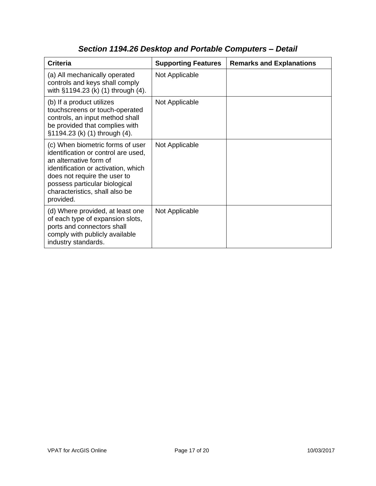| <b>Criteria</b>                                                                                                                                                                                                                                          | <b>Supporting Features</b> | <b>Remarks and Explanations</b> |
|----------------------------------------------------------------------------------------------------------------------------------------------------------------------------------------------------------------------------------------------------------|----------------------------|---------------------------------|
| (a) All mechanically operated<br>controls and keys shall comply<br>with §1194.23 (k) (1) through (4).                                                                                                                                                    | Not Applicable             |                                 |
| (b) If a product utilizes<br>touchscreens or touch-operated<br>controls, an input method shall<br>be provided that complies with<br>§1194.23 (k) (1) through (4).                                                                                        | Not Applicable             |                                 |
| (c) When biometric forms of user<br>identification or control are used,<br>an alternative form of<br>identification or activation, which<br>does not require the user to<br>possess particular biological<br>characteristics, shall also be<br>provided. | Not Applicable             |                                 |
| (d) Where provided, at least one<br>of each type of expansion slots,<br>ports and connectors shall<br>comply with publicly available<br>industry standards.                                                                                              | Not Applicable             |                                 |

## *Section 1194.26 Desktop and Portable Computers – Detail*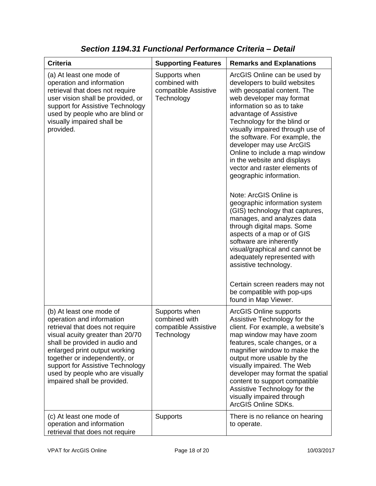| <b>Criteria</b>                                                                                                                                                                                                                                                                                                                        | <b>Supporting Features</b>                                           | <b>Remarks and Explanations</b>                                                                                                                                                                                                                                                                                                                                                                                                                                                                                                                                                                                                                                                                                                                                                                                                                    |
|----------------------------------------------------------------------------------------------------------------------------------------------------------------------------------------------------------------------------------------------------------------------------------------------------------------------------------------|----------------------------------------------------------------------|----------------------------------------------------------------------------------------------------------------------------------------------------------------------------------------------------------------------------------------------------------------------------------------------------------------------------------------------------------------------------------------------------------------------------------------------------------------------------------------------------------------------------------------------------------------------------------------------------------------------------------------------------------------------------------------------------------------------------------------------------------------------------------------------------------------------------------------------------|
| (a) At least one mode of<br>operation and information<br>retrieval that does not require<br>user vision shall be provided, or<br>support for Assistive Technology<br>used by people who are blind or<br>visually impaired shall be<br>provided.                                                                                        | Supports when<br>combined with<br>compatible Assistive<br>Technology | ArcGIS Online can be used by<br>developers to build websites<br>with geospatial content. The<br>web developer may format<br>information so as to take<br>advantage of Assistive<br>Technology for the blind or<br>visually impaired through use of<br>the software. For example, the<br>developer may use ArcGIS<br>Online to include a map window<br>in the website and displays<br>vector and raster elements of<br>geographic information.<br>Note: ArcGIS Online is<br>geographic information system<br>(GIS) technology that captures,<br>manages, and analyzes data<br>through digital maps. Some<br>aspects of a map or of GIS<br>software are inherently<br>visual/graphical and cannot be<br>adequately represented with<br>assistive technology.<br>Certain screen readers may not<br>be compatible with pop-ups<br>found in Map Viewer. |
| (b) At least one mode of<br>operation and information<br>retrieval that does not require<br>visual acuity greater than 20/70<br>shall be provided in audio and<br>enlarged print output working<br>together or independently, or<br>support for Assistive Technology<br>used by people who are visually<br>impaired shall be provided. | Supports when<br>combined with<br>compatible Assistive<br>Technology | <b>ArcGIS Online supports</b><br>Assistive Technology for the<br>client. For example, a website's<br>map window may have zoom<br>features, scale changes, or a<br>magnifier window to make the<br>output more usable by the<br>visually impaired. The Web<br>developer may format the spatial<br>content to support compatible<br>Assistive Technology for the<br>visually impaired through<br>ArcGIS Online SDKs.                                                                                                                                                                                                                                                                                                                                                                                                                                 |
| (c) At least one mode of<br>operation and information<br>retrieval that does not require                                                                                                                                                                                                                                               | Supports                                                             | There is no reliance on hearing<br>to operate.                                                                                                                                                                                                                                                                                                                                                                                                                                                                                                                                                                                                                                                                                                                                                                                                     |

*Section 1194.31 Functional Performance Criteria – Detail*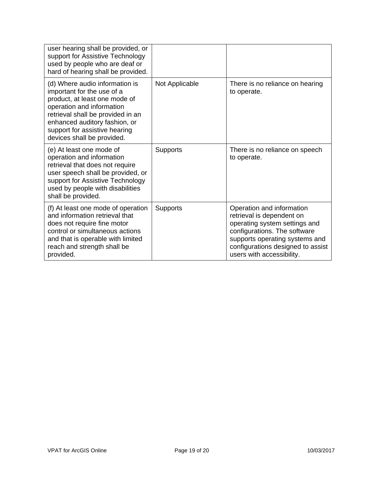| user hearing shall be provided, or<br>support for Assistive Technology<br>used by people who are deaf or<br>hard of hearing shall be provided.                                                                                                                  |                 |                                                                                                                                                                                                                             |
|-----------------------------------------------------------------------------------------------------------------------------------------------------------------------------------------------------------------------------------------------------------------|-----------------|-----------------------------------------------------------------------------------------------------------------------------------------------------------------------------------------------------------------------------|
| (d) Where audio information is<br>important for the use of a<br>product, at least one mode of<br>operation and information<br>retrieval shall be provided in an<br>enhanced auditory fashion, or<br>support for assistive hearing<br>devices shall be provided. | Not Applicable  | There is no reliance on hearing<br>to operate.                                                                                                                                                                              |
| (e) At least one mode of<br>operation and information<br>retrieval that does not require<br>user speech shall be provided, or<br>support for Assistive Technology<br>used by people with disabilities<br>shall be provided.                                     | <b>Supports</b> | There is no reliance on speech<br>to operate.                                                                                                                                                                               |
| (f) At least one mode of operation<br>and information retrieval that<br>does not require fine motor<br>control or simultaneous actions<br>and that is operable with limited<br>reach and strength shall be<br>provided.                                         | Supports        | Operation and information<br>retrieval is dependent on<br>operating system settings and<br>configurations. The software<br>supports operating systems and<br>configurations designed to assist<br>users with accessibility. |